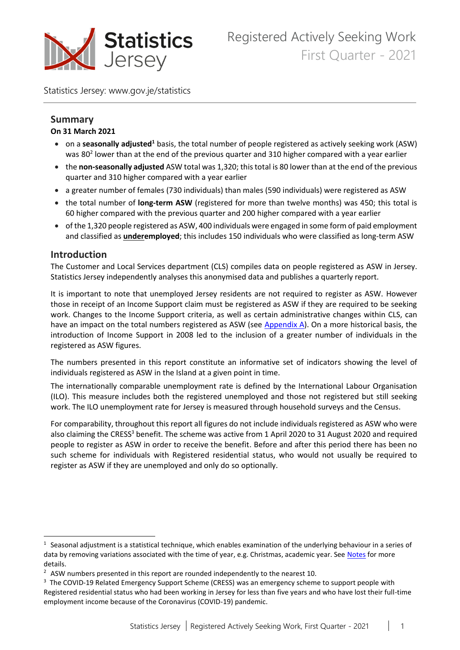

Statistics Jersey: www.gov.je/statistics

#### **Summary On 31 March 2021**

- **•** on a seasonally adjusted<sup>1</sup> basis, the total number of people registered as actively seeking work (ASW) was 80<sup>2</sup> lower than at the end of the previous quarter and 310 higher compared with a year earlier
- the **non-seasonally adjusted** ASW total was 1,320; this total is 80 lower than at the end of the previous quarter and 310 higher compared with a year earlier
- a greater number of females (730 individuals) than males (590 individuals) were registered as ASW
- the total number of **long-term ASW** (registered for more than twelve months) was 450; this total is 60 higher compared with the previous quarter and 200 higher compared with a year earlier
- of the 1,320 people registered as ASW, 400 individuals were engaged in some form of paid employment and classified as **underemployed**; this includes 150 individuals who were classified as long-term ASW

### **Introduction**

The Customer and Local Services department (CLS) compiles data on people registered as ASW in Jersey. Statistics Jersey independently analyses this anonymised data and publishes a quarterly report.

It is important to note that unemployed Jersey residents are not required to register as ASW. However those in receipt of an Income Support claim must be registered as ASW if they are required to be seeking work. Changes to the Income Support criteria, as well as certain administrative changes within CLS, can have an impact on the total numbers registered as ASW (see [Appendix A\)](#page-8-0). On a more historical basis, the introduction of Income Support in 2008 led to the inclusion of a greater number of individuals in the registered as ASW figures.

The numbers presented in this report constitute an informative set of indicators showing the level of individuals registered as ASW in the Island at a given point in time.

The internationally comparable unemployment rate is defined by the International Labour Organisation (ILO). This measure includes both the registered unemployed and those not registered but still seeking work. The ILO unemployment rate for Jersey is measured through household surveys and the Census.

For comparability, throughout this report all figures do not include individuals registered as ASW who were also claiming the CRESS<sup>3</sup> benefit. The scheme was active from 1 April 2020 to 31 August 2020 and required people to register as ASW in order to receive the benefit. Before and after this period there has been no such scheme for individuals with Registered residential status, who would not usually be required to register as ASW if they are unemployed and only do so optionally.

 $1$  Seasonal adjustment is a statistical technique, which enables examination of the underlying behaviour in a series of data by removing variations associated with the time of year, e.g. Christmas, academic year. See [Notes](#page-6-0) for more details.

 $2$  ASW numbers presented in this report are rounded independently to the nearest 10.

<sup>&</sup>lt;sup>3</sup> The COVID-19 Related Emergency Support Scheme (CRESS) was an emergency scheme to support people with Registered residential status who had been working in Jersey for less than five years and who have lost their full-time employment income because of the Coronavirus (COVID-19) pandemic.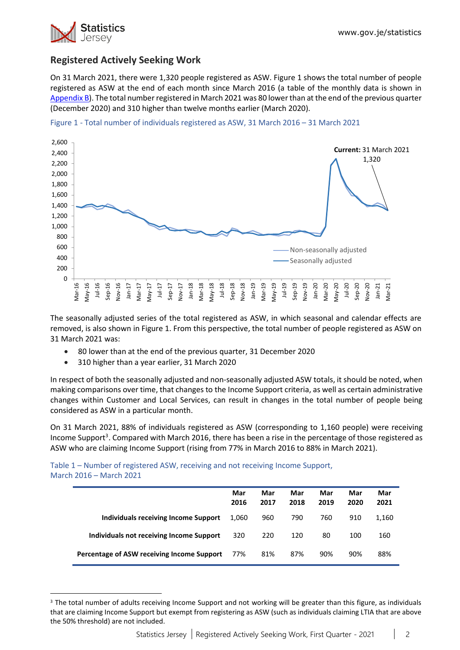

## **Registered Actively Seeking Work**

On 31 March 2021, there were 1,320 people registered as ASW. Figure 1 shows the total number of people registered as ASW at the end of each month since March 2016 (a table of the monthly data is shown in [Appendix B\)](#page-9-0). The total number registered in March 2021 was 80 lower than at the end of the previous quarter (December 2020) and 310 higher than twelve months earlier (March 2020).





The seasonally adjusted series of the total registered as ASW, in which seasonal and calendar effects are removed, is also shown in Figure 1. From this perspective, the total number of people registered as ASW on 31 March 2021 was:

- 80 lower than at the end of the previous quarter, 31 December 2020
- 310 higher than a year earlier, 31 March 2020

In respect of both the seasonally adjusted and non-seasonally adjusted ASW totals, it should be noted, when making comparisons over time, that changes to the Income Support criteria, as well as certain administrative changes within Customer and Local Services, can result in changes in the total number of people being considered as ASW in a particular month.

On 31 March 2021, 88% of individuals registered as ASW (corresponding to 1,160 people) were receiving Income Support<sup>3</sup>. Compared with March 2016, there has been a rise in the percentage of those registered as ASW who are claiming Income Support (rising from 77% in March 2016 to 88% in March 2021).

Table 1 – Number of registered ASW, receiving and not receiving Income Support, March 2016 – March 2021

|                                            | Mar<br>2016 | Mar<br>2017 | Mar<br>2018 | Mar<br>2019 | Mar<br>2020 | Mar<br>2021 |
|--------------------------------------------|-------------|-------------|-------------|-------------|-------------|-------------|
| Individuals receiving Income Support       | 1.060       | 960         | 790         | 760         | 910         | 1,160       |
| Individuals not receiving Income Support   | 320         | 220         | 120         | 80          | 100         | 160         |
| Percentage of ASW receiving Income Support | 77%         | 81%         | 87%         | 90%         | 90%         | 88%         |

<sup>&</sup>lt;sup>3</sup> The total number of adults receiving Income Support and not working will be greater than this figure, as individuals that are claiming Income Support but exempt from registering as ASW (such as individuals claiming LTIA that are above the 50% threshold) are not included.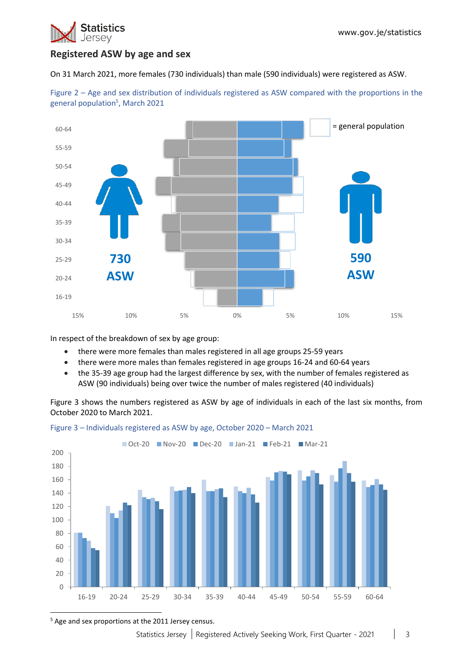

## **Registered ASW by age and sex**

On 31 March 2021, more females (730 individuals) than male (590 individuals) were registered as ASW.



Figure 2 – Age and sex distribution of individuals registered as ASW compared with the proportions in the general population<sup>5</sup>, March 2021

In respect of the breakdown of sex by age group:

- there were more females than males registered in all age groups 25-59 years
- there were more males than females registered in age groups 16-24 and 60-64 years
- the 35-39 age group had the largest difference by sex, with the number of females registered as ASW (90 individuals) being over twice the number of males registered (40 individuals)

Figure 3 shows the numbers registered as ASW by age of individuals in each of the last six months, from October 2020 to March 2021.



Figure 3 – Individuals registered as ASW by age, October 2020 – March 2021

<sup>5</sup> Age and sex proportions at the 2011 Jersey census.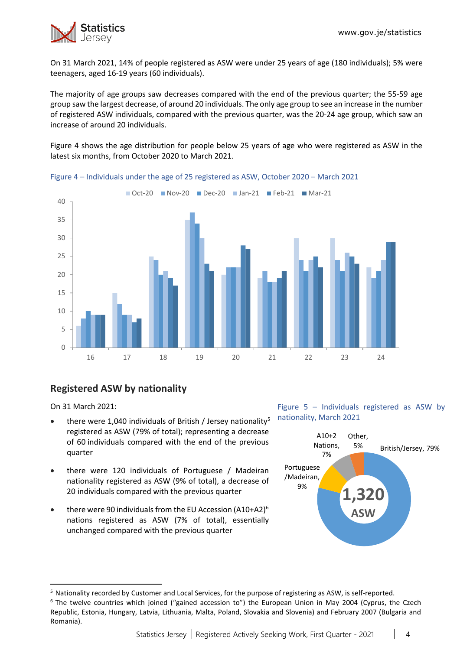

On 31 March 2021, 14% of people registered as ASW were under 25 years of age (180 individuals); 5% were teenagers, aged 16-19 years (60 individuals).

The majority of age groups saw decreases compared with the end of the previous quarter; the 55-59 age group saw the largest decrease, of around 20 individuals. The only age group to see an increase in the number of registered ASW individuals, compared with the previous quarter, was the 20-24 age group, which saw an increase of around 20 individuals.

Figure 4 shows the age distribution for people below 25 years of age who were registered as ASW in the latest six months, from October 2020 to March 2021.



Figure 4 – Individuals under the age of 25 registered as ASW, October 2020 – March 2021

# **Registered ASW by nationality**

On 31 March 2021:

- there were 1,040 individuals of British / Jersey nationality<sup>5</sup> registered as ASW (79% of total); representing a decrease of 60 individuals compared with the end of the previous quarter
- there were 120 individuals of Portuguese / Madeiran nationality registered as ASW (9% of total), a decrease of 20 individuals compared with the previous quarter
- there were 90 individuals from the EU Accession (A10+A2) $<sup>6</sup>$ </sup> nations registered as ASW (7% of total), essentially unchanged compared with the previous quarter

Figure 5 – Individuals registered as ASW by nationality, March 2021



<sup>&</sup>lt;sup>5</sup> Nationality recorded by Customer and Local Services, for the purpose of registering as ASW, is self-reported.

 $6$  The twelve countries which joined ("gained accession to") the European Union in May 2004 (Cyprus, the Czech Republic, Estonia, Hungary, Latvia, Lithuania, Malta, Poland, Slovakia and Slovenia) and February 2007 (Bulgaria and Romania).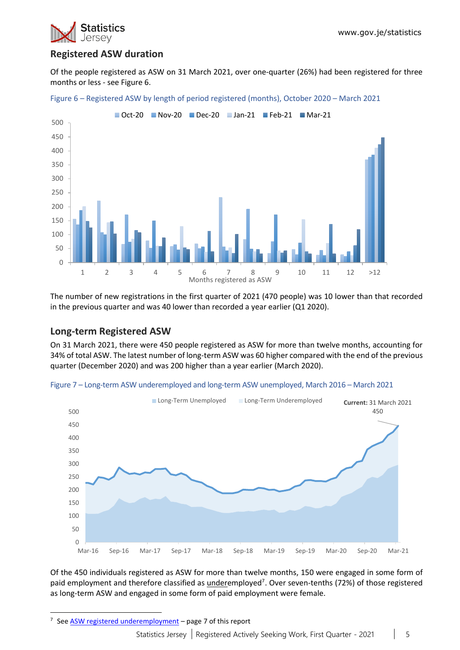

## **Registered ASW duration**

Of the people registered as ASW on 31 March 2021, over one-quarter (26%) had been registered for three months or less - see Figure 6.



Figure 6 – Registered ASW by length of period registered (months), October 2020 – March 2021

The number of new registrations in the first quarter of 2021 (470 people) was 10 lower than that recorded in the previous quarter and was 40 lower than recorded a year earlier (Q1 2020).

### **Long-term Registered ASW**

On 31 March 2021, there were 450 people registered as ASW for more than twelve months, accounting for 34% of total ASW. The latest number of long-term ASW was 60 higher compared with the end of the previous quarter (December 2020) and was 200 higher than a year earlier (March 2020).



Figure 7 – Long-term ASW underemployed and long-term ASW unemployed, March 2016 – March 2021

Of the 450 individuals registered as ASW for more than twelve months, 150 were engaged in some form of paid employment and therefore classified as *underemployed<sup>7</sup>*. Over seven-tenths (72%) of those registered as long-term ASW and engaged in some form of paid employment were female.

<sup>&</sup>lt;sup>7</sup> See [ASW registered underemployment](#page-5-0) – page 7 of this report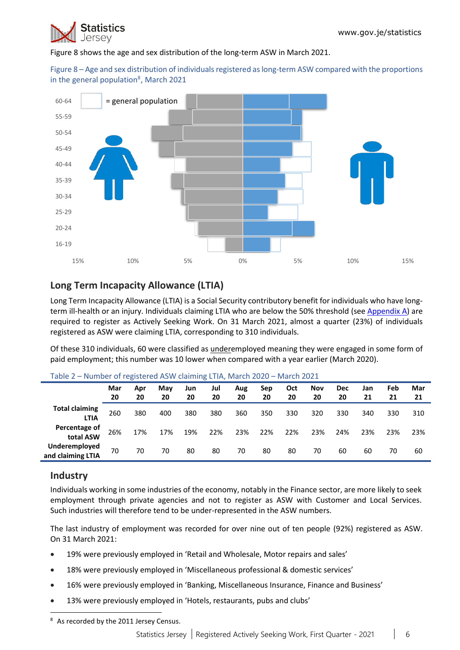

Figure 8 shows the age and sex distribution of the long-term ASW in March 2021.

Figure 8 – Age and sex distribution of individuals registered as long-term ASW compared with the proportions in the general population<sup>8</sup>, March 2021



## **Long Term Incapacity Allowance (LTIA)**

Long Term Incapacity Allowance (LTIA) is a Social Security contributory benefit for individuals who have longterm ill-health or an injury. Individuals claiming LTIA who are below the 50% threshold (se[e Appendix A\)](#page-8-0) are required to register as Actively Seeking Work. On 31 March 2021, almost a quarter (23%) of individuals registered as ASW were claiming LTIA, corresponding to 310 individuals.

Of these 310 individuals, 60 were classified as underemployed meaning they were engaged in some form of paid employment; this number was 10 lower when compared with a year earlier (March 2020).

|                                      | Mar<br>20 | Apr<br>20 | May<br>20 | Jun<br>20 | Jul<br>20 | Aug<br>20 | Sep<br>20 | Oct<br>20 | Nov<br>20 | Dec<br>20 | Jan<br>21 | Feb<br>21 | Mar<br>21 |
|--------------------------------------|-----------|-----------|-----------|-----------|-----------|-----------|-----------|-----------|-----------|-----------|-----------|-----------|-----------|
| <b>Total claiming</b><br><b>LTIA</b> | 260       | 380       | 400       | 380       | 380       | 360       | 350       | 330       | 320       | 330       | 340       | 330       | 310       |
| Percentage of<br>total ASW           | 26%       | 17%       | 17%       | 19%       | 22%       | 23%       | 22%       | 22%       | 23%       | 24%       | 23%       | 23%       | 23%       |
| Underemployed<br>and claiming LTIA   | 70        | 70        | 70        | 80        | 80        | 70        | 80        | 80        | 70        | 60        | 60        | 70        | 60        |

#### Table 2 – Number of registered ASW claiming LTIA, March 2020 – March 2021

### **Industry**

Individuals working in some industries of the economy, notably in the Finance sector, are more likely to seek employment through private agencies and not to register as ASW with Customer and Local Services. Such industries will therefore tend to be under-represented in the ASW numbers.

The last industry of employment was recorded for over nine out of ten people (92%) registered as ASW. On 31 March 2021:

- 19% were previously employed in 'Retail and Wholesale, Motor repairs and sales'
- 18% were previously employed in 'Miscellaneous professional & domestic services'
- 16% were previously employed in 'Banking, Miscellaneous Insurance, Finance and Business'
- <span id="page-5-0"></span>• 13% were previously employed in 'Hotels, restaurants, pubs and clubs'

<sup>&</sup>lt;sup>8</sup> As recorded by the 2011 Jersey Census.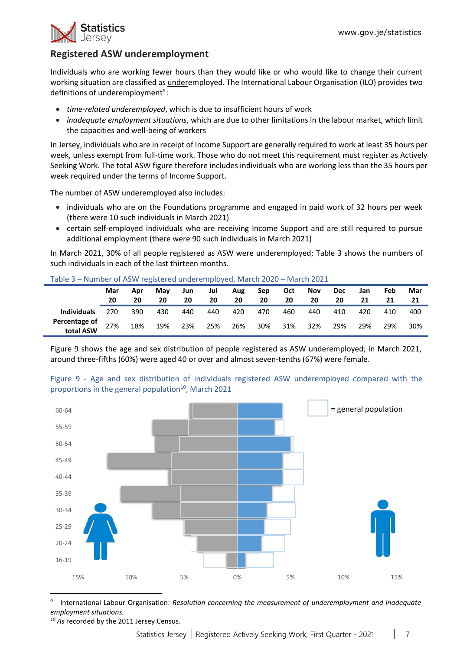

## **Registered ASW underemployment**

Individuals who are working fewer hours than they would like or who would like to change their current working situation are classified as underemployed. The International Labour Organisation (ILO) provides two definitions of underemployment<sup>9</sup>:

- *time-related underemployed*, which is due to insufficient hours of work
- *inadequate employment situations*, which are due to other limitations in the labour market, which limit the capacities and well-being of workers

In Jersey, individuals who are in receipt of Income Support are generally required to work at least 35 hours per week, unless exempt from full-time work. Those who do not meet this requirement must register as Actively Seeking Work. The total ASW figure therefore includes individuals who are working less than the 35 hours per week required under the terms of Income Support.

The number of ASW underemployed also includes:

- individuals who are on the Foundations programme and engaged in paid work of 32 hours per week (there were 10 such individuals in March 2021)
- certain self-employed individuals who are receiving Income Support and are still required to pursue additional employment (there were 90 such individuals in March 2021)

In March 2021, 30% of all people registered as ASW were underemployed; Table 3 shows the numbers of such individuals in each of the last thirteen months.

|                            | Mar<br>20 | Apr<br>20 | May<br>20 | Jun<br>20 | Jul<br>20 | Aug<br>20 | Sep<br>20 | Oct<br>20 | <b>Nov</b><br>20 | <b>Dec</b><br>20 | Jan<br>21 | Feb<br>21 | Mar |
|----------------------------|-----------|-----------|-----------|-----------|-----------|-----------|-----------|-----------|------------------|------------------|-----------|-----------|-----|
| <b>Individuals</b>         | 270       | 390       | 430       | 440       | 440       | 420       | 470       | 460       | 440              | 410              | 420       | 410       | 400 |
| Percentage of<br>total ASW | 27%       | 18%       | 19%       | 23%       | 25%       | 26%       | 30%       | 31%       | 32%              | 29%              | 29%       | 29%       | 30% |

Figure 9 shows the age and sex distribution of people registered as ASW underemployed; in March 2021, around three-fifths (60%) were aged 40 or over and almost seven-tenths (67%) were female.



<span id="page-6-0"></span>Figure 9 - Age and sex distribution of individuals registered ASW underemployed compared with the proportions in the general population<sup>10</sup>, March 2021

<sup>910</sup> International Labour Organisation: *Resolution concerning the measurement of underemployment and inadequate employment situations.*

*<sup>10</sup> As* recorded by the 2011 Jersey Census.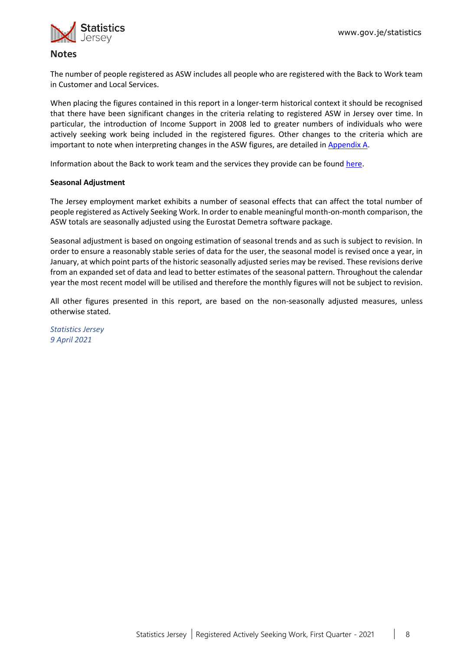

### **Notes**

The number of people registered as ASW includes all people who are registered with the Back to Work team in Customer and Local Services.

When placing the figures contained in this report in a longer-term historical context it should be recognised that there have been significant changes in the criteria relating to registered ASW in Jersey over time. In particular, the introduction of Income Support in 2008 led to greater numbers of individuals who were actively seeking work being included in the registered figures. Other changes to the criteria which are important to note when interpreting changes in the ASW figures, are detailed in [Appendix A.](#page-8-0)

Information about the Back to work team and the services they provide can be found [here.](https://www.gov.je/working/jobcareeradvice/aboutbacktowork/Pages/index.aspx)

#### **Seasonal Adjustment**

The Jersey employment market exhibits a number of seasonal effects that can affect the total number of people registered as Actively Seeking Work. In order to enable meaningful month-on-month comparison, the ASW totals are seasonally adjusted using the Eurostat Demetra software package.

Seasonal adjustment is based on ongoing estimation of seasonal trends and as such is subject to revision. In order to ensure a reasonably stable series of data for the user, the seasonal model is revised once a year, in January, at which point parts of the historic seasonally adjusted series may be revised. These revisions derive from an expanded set of data and lead to better estimates of the seasonal pattern. Throughout the calendar year the most recent model will be utilised and therefore the monthly figures will not be subject to revision.

All other figures presented in this report, are based on the non-seasonally adjusted measures, unless otherwise stated.

*Statistics Jersey 9 April 2021*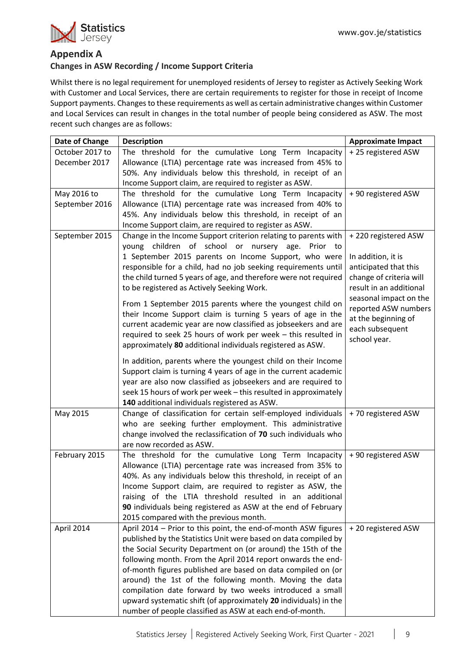### <span id="page-8-1"></span><span id="page-8-0"></span>**Appendix A**

### **Changes in ASW Recording / Income Support Criteria**

Whilst there is no legal requirement for unemployed residents of Jersey to register as Actively Seeking Work with Customer and Local Services, there are certain requirements to register for those in receipt of Income Support payments. Changes to these requirements as well as certain administrative changes within Customer and Local Services can result in changes in the total number of people being considered as ASW. The most recent such changes are as follows:

| Date of Change  | <b>Description</b>                                                                                                           | <b>Approximate Impact</b>                   |
|-----------------|------------------------------------------------------------------------------------------------------------------------------|---------------------------------------------|
| October 2017 to | The threshold for the cumulative Long Term Incapacity                                                                        | +25 registered ASW                          |
| December 2017   | Allowance (LTIA) percentage rate was increased from 45% to                                                                   |                                             |
|                 | 50%. Any individuals below this threshold, in receipt of an                                                                  |                                             |
|                 | Income Support claim, are required to register as ASW.                                                                       |                                             |
| May 2016 to     | The threshold for the cumulative Long Term Incapacity                                                                        | + 90 registered ASW                         |
| September 2016  | Allowance (LTIA) percentage rate was increased from 40% to                                                                   |                                             |
|                 | 45%. Any individuals below this threshold, in receipt of an                                                                  |                                             |
|                 | Income Support claim, are required to register as ASW.                                                                       |                                             |
| September 2015  | Change in the Income Support criterion relating to parents with                                                              | +220 registered ASW                         |
|                 | young children of school or nursery age. Prior to                                                                            |                                             |
|                 | 1 September 2015 parents on Income Support, who were<br>responsible for a child, had no job seeking requirements until       | In addition, it is<br>anticipated that this |
|                 | the child turned 5 years of age, and therefore were not required                                                             | change of criteria will                     |
|                 | to be registered as Actively Seeking Work.                                                                                   | result in an additional                     |
|                 |                                                                                                                              | seasonal impact on the                      |
|                 | From 1 September 2015 parents where the youngest child on                                                                    | reported ASW numbers                        |
|                 | their Income Support claim is turning 5 years of age in the                                                                  | at the beginning of                         |
|                 | current academic year are now classified as jobseekers and are                                                               | each subsequent                             |
|                 | required to seek 25 hours of work per week - this resulted in                                                                | school year.                                |
|                 | approximately 80 additional individuals registered as ASW.                                                                   |                                             |
|                 | In addition, parents where the youngest child on their Income                                                                |                                             |
|                 | Support claim is turning 4 years of age in the current academic                                                              |                                             |
|                 | year are also now classified as jobseekers and are required to                                                               |                                             |
|                 | seek 15 hours of work per week - this resulted in approximately                                                              |                                             |
|                 | 140 additional individuals registered as ASW.                                                                                |                                             |
| May 2015        | Change of classification for certain self-employed individuals                                                               | +70 registered ASW                          |
|                 | who are seeking further employment. This administrative                                                                      |                                             |
|                 | change involved the reclassification of 70 such individuals who                                                              |                                             |
|                 | are now recorded as ASW.                                                                                                     |                                             |
| February 2015   | The threshold for the cumulative Long Term Incapacity                                                                        | + 90 registered ASW                         |
|                 | Allowance (LTIA) percentage rate was increased from 35% to                                                                   |                                             |
|                 | 40%. As any individuals below this threshold, in receipt of an                                                               |                                             |
|                 | Income Support claim, are required to register as ASW, the                                                                   |                                             |
|                 | raising of the LTIA threshold resulted in an additional                                                                      |                                             |
|                 | 90 individuals being registered as ASW at the end of February                                                                |                                             |
|                 | 2015 compared with the previous month.                                                                                       |                                             |
| April 2014      | April 2014 - Prior to this point, the end-of-month ASW figures                                                               | +20 registered ASW                          |
|                 | published by the Statistics Unit were based on data compiled by                                                              |                                             |
|                 | the Social Security Department on (or around) the 15th of the                                                                |                                             |
|                 | following month. From the April 2014 report onwards the end-<br>of-month figures published are based on data compiled on (or |                                             |
|                 | around) the 1st of the following month. Moving the data                                                                      |                                             |
|                 | compilation date forward by two weeks introduced a small                                                                     |                                             |
|                 | upward systematic shift (of approximately 20 individuals) in the                                                             |                                             |
|                 | number of people classified as ASW at each end-of-month.                                                                     |                                             |